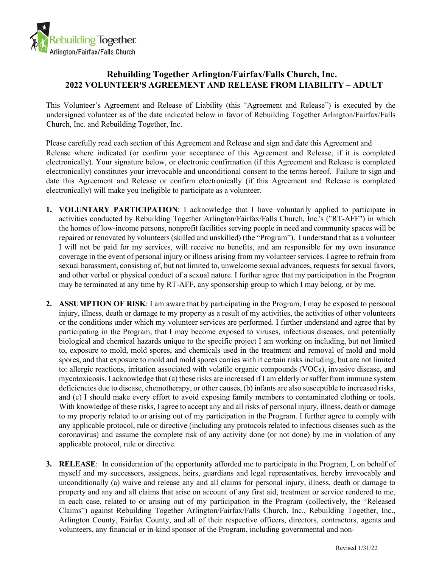

## **Rebuilding Together Arlington/Fairfax/Falls Church, Inc. 2022 VOLUNTEER'S AGREEMENT AND RELEASE FROM LIABILITY – ADULT**

This Volunteer's Agreement and Release of Liability (this "Agreement and Release") is executed by the undersigned volunteer as of the date indicated below in favor of Rebuilding Together Arlington/Fairfax/Falls Church, Inc. and Rebuilding Together, Inc.

Please carefully read each section of this Agreement and Release and sign and date this Agreement and Release where indicated (or confirm your acceptance of this Agreement and Release, if it is completed electronically). Your signature below, or electronic confirmation (if this Agreement and Release is completed electronically) constitutes your irrevocable and unconditional consent to the terms hereof. Failure to sign and date this Agreement and Release or confirm electronically (if this Agreement and Release is completed electronically) will make you ineligible to participate as a volunteer.

- **1. VOLUNTARY PARTICIPATION**: I acknowledge that I have voluntarily applied to participate in activities conducted by Rebuilding Together Arlington/Fairfax/Falls Church, Inc.'s ("RT-AFF") in which the homes of low-income persons, nonprofit facilities serving people in need and community spaces will be repaired or renovated by volunteers (skilled and unskilled) (the "Program"). I understand that as a volunteer I will not be paid for my services, will receive no benefits, and am responsible for my own insurance coverage in the event of personal injury or illness arising from my volunteer services. I agree to refrain from sexual harassment, consisting of, but not limited to, unwelcome sexual advances, requests for sexual favors, and other verbal or physical conduct of a sexual nature. I further agree that my participation in the Program may be terminated at any time by RT-AFF, any sponsorship group to which I may belong, or by me.
- **2. ASSUMPTION OF RISK**: I am aware that by participating in the Program, I may be exposed to personal injury, illness, death or damage to my property as a result of my activities, the activities of other volunteers or the conditions under which my volunteer services are performed. I further understand and agree that by participating in the Program, that I may become exposed to viruses, infectious diseases, and potentially biological and chemical hazards unique to the specific project I am working on including, but not limited to, exposure to mold, mold spores, and chemicals used in the treatment and removal of mold and mold spores, and that exposure to mold and mold spores carries with it certain risks including, but are not limited to: allergic reactions, irritation associated with volatile organic compounds (VOCs), invasive disease, and mycotoxicosis. I acknowledge that (a) these risks are increased if I am elderly or suffer from immune system deficiencies due to disease, chemotherapy, or other causes, (b) infants are also susceptible to increased risks, and (c) I should make every effort to avoid exposing family members to contaminated clothing or tools. With knowledge of these risks, I agree to accept any and all risks of personal injury, illness, death or damage to my property related to or arising out of my participation in the Program. I further agree to comply with any applicable protocol, rule or directive (including any protocols related to infectious diseases such as the coronavirus) and assume the complete risk of any activity done (or not done) by me in violation of any applicable protocol, rule or directive.
- **3. RELEASE**: In consideration of the opportunity afforded me to participate in the Program, I, on behalf of myself and my successors, assignees, heirs, guardians and legal representatives, hereby irrevocably and unconditionally (a) waive and release any and all claims for personal injury, illness, death or damage to property and any and all claims that arise on account of any first aid, treatment or service rendered to me, in each case, related to or arising out of my participation in the Program (collectively, the "Released Claims") against Rebuilding Together Arlington/Fairfax/Falls Church, Inc., Rebuilding Together, Inc., Arlington County, Fairfax County, and all of their respective officers, directors, contractors, agents and volunteers, any financial or in-kind sponsor of the Program, including governmental and non-